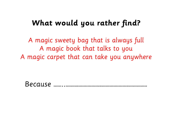# What would you rather find?

A magic sweety bag that is always full A magic book that talks to you A magic carpet that can take you anywhere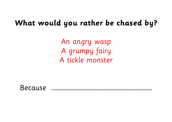# What would you rather be chased by?

An angry wasp A grumpy fairy A tickle monster

**Because**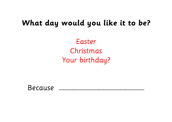# **What day would you like it to be?**

Easter Christmas Your birthday?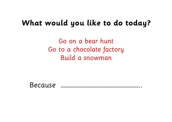#### **What would you like to do today?**

Go on a bear hunt Go to a chocolate factory Build a snowman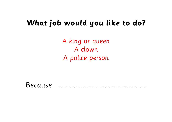# **What job would you like to do?**

A king or queen A clown A police person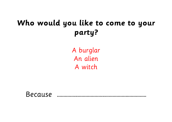# Who would you like to come to your party?

A burglar An alien A witch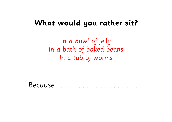# **What would you rather sit?**

In a bowl of jelly In a bath of baked beans In a tub of worms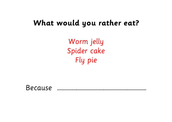#### What would you rather eat?

Worm jelly Spider cake Fly pie

Because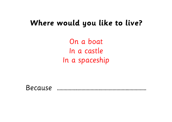#### **Where would you like to live?**

On a boat In a castle In a spaceship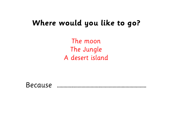# **Where would you like to go?**

The moon The Jungle A desert island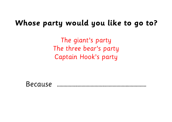# **Whose party would you like to go to?**

The giant's party The three bear's party Captain Hook's party

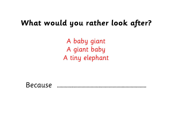#### **What would you rather look after?**

A baby giant A giant baby A tiny elephant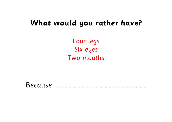#### **What would you rather have?**

Four legs Six eyes Two mouths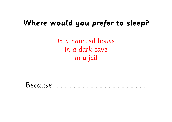# **Where would you prefer to sleep?**

In a haunted house In a dark cave In a jail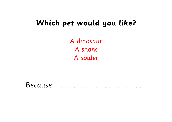# **Which pet would you like?**

A dinosaur A shark A spider